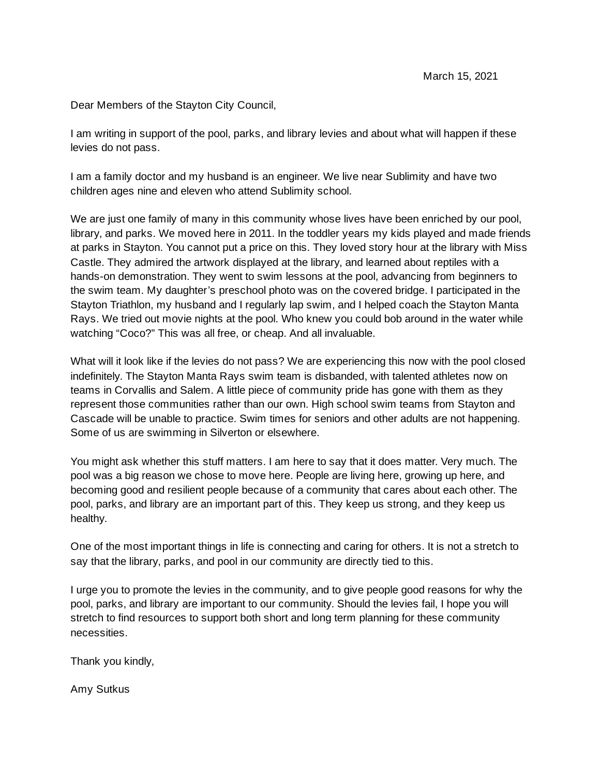Dear Members of the Stayton City Council,

I am writing in support of the pool, parks, and library levies and about what will happen if these levies do not pass.

I am a family doctor and my husband is an engineer. We live near Sublimity and have two children ages nine and eleven who attend Sublimity school.

We are just one family of many in this community whose lives have been enriched by our pool, library, and parks. We moved here in 2011. In the toddler years my kids played and made friends at parks in Stayton. You cannot put a price on this. They loved story hour at the library with Miss Castle. They admired the artwork displayed at the library, and learned about reptiles with a hands-on demonstration. They went to swim lessons at the pool, advancing from beginners to the swim team. My daughter's preschool photo was on the covered bridge. I participated in the Stayton Triathlon, my husband and I regularly lap swim, and I helped coach the Stayton Manta Rays. We tried out movie nights at the pool. Who knew you could bob around in the water while watching "Coco?" This was all free, or cheap. And all invaluable.

What will it look like if the levies do not pass? We are experiencing this now with the pool closed indefinitely. The Stayton Manta Rays swim team is disbanded, with talented athletes now on teams in Corvallis and Salem. A little piece of community pride has gone with them as they represent those communities rather than our own. High school swim teams from Stayton and Cascade will be unable to practice. Swim times for seniors and other adults are not happening. Some of us are swimming in Silverton or elsewhere.

You might ask whether this stuff matters. I am here to say that it does matter. Very much. The pool was a big reason we chose to move here. People are living here, growing up here, and becoming good and resilient people because of a community that cares about each other. The pool, parks, and library are an important part of this. They keep us strong, and they keep us healthy.

One of the most important things in life is connecting and caring for others. It is not a stretch to say that the library, parks, and pool in our community are directly tied to this.

I urge you to promote the levies in the community, and to give people good reasons for why the pool, parks, and library are important to our community. Should the levies fail, I hope you will stretch to find resources to support both short and long term planning for these community necessities.

Thank you kindly,

Amy Sutkus